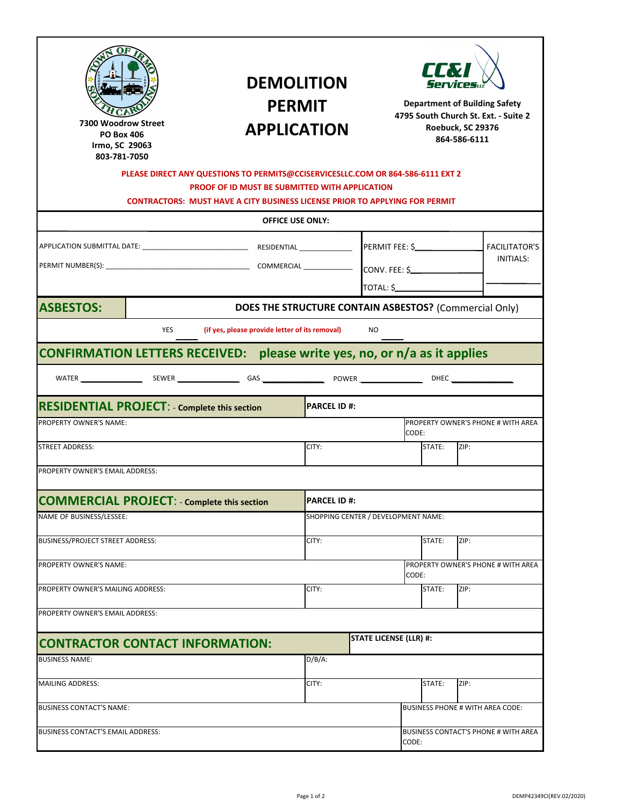| tovse<br>tboušUõ<br>ðð                                                           | <b>DEMOLITION</b><br><b>PERMIT</b><br><b>APPLICATION</b><br>PLEASE DIRECT ANY QUESTIONS TO PERMITS@CCISERVICESLLC.COM OR 864-586-6111 EXT 2<br><b>PROOF OF ID MUST BE SUBMITTED WITH APPLICATION</b><br><b>CONTRACTORS: MUST HAVE A CITY BUSINESS LICENSE PRIOR TO APPLYING FOR PERMIT</b> |                                     |                               | <b>IN</b>                       | Servicesu<br><b>Department of Building Safety</b><br>4795 South Church St. Ext. - Suite 2<br>Roebuck, SC 29376<br>864-586-6111 |
|----------------------------------------------------------------------------------|--------------------------------------------------------------------------------------------------------------------------------------------------------------------------------------------------------------------------------------------------------------------------------------------|-------------------------------------|-------------------------------|---------------------------------|--------------------------------------------------------------------------------------------------------------------------------|
|                                                                                  | <b>OFFICE USE ONLY:</b>                                                                                                                                                                                                                                                                    |                                     |                               |                                 |                                                                                                                                |
|                                                                                  |                                                                                                                                                                                                                                                                                            |                                     |                               | PERMIT FEE: \$<br>CONV. FEE: \$ | <b>FACILITATOR'S</b><br>INITIALS:                                                                                              |
| <b>ASBESTOS:</b>                                                                 |                                                                                                                                                                                                                                                                                            |                                     |                               |                                 | DOES THE STRUCTURE CONTAIN ASBESTOS? (Commercial Only)                                                                         |
| YES                                                                              | (if yes, please provide letter of its removal)                                                                                                                                                                                                                                             |                                     | NO.                           |                                 |                                                                                                                                |
| <b>CONFIRMATION LETTERS RECEIVED:</b> please write yes, no, or n/a as it applies |                                                                                                                                                                                                                                                                                            |                                     |                               |                                 |                                                                                                                                |
|                                                                                  |                                                                                                                                                                                                                                                                                            |                                     |                               |                                 |                                                                                                                                |
| <b>RESIDENTIAL PROJECT: - Complete this section</b>                              |                                                                                                                                                                                                                                                                                            | <b>IPARCEL ID #:</b>                |                               |                                 |                                                                                                                                |
| <b>PROPERTY OWNER'S NAME:</b>                                                    |                                                                                                                                                                                                                                                                                            |                                     |                               | CODE:                           | <b>PROPERTY OWNER'S PHONE # WITH AREA</b>                                                                                      |
| <b>STREET ADDRESS:</b>                                                           |                                                                                                                                                                                                                                                                                            | CITY:                               |                               | STATE:                          | ZIP:                                                                                                                           |
| PROPERTY OWNER'S EMAIL ADDRESS:                                                  |                                                                                                                                                                                                                                                                                            |                                     |                               |                                 |                                                                                                                                |
| <b>COMMERCIAL PROJECT: - Complete this section</b>                               |                                                                                                                                                                                                                                                                                            | <b>PARCEL ID #:</b>                 |                               |                                 |                                                                                                                                |
| NAME OF BUSINESS/LESSEE:                                                         |                                                                                                                                                                                                                                                                                            | SHOPPING CENTER / DEVELOPMENT NAME: |                               |                                 |                                                                                                                                |
| BUSINESS/PROJECT STREET ADDRESS:                                                 |                                                                                                                                                                                                                                                                                            | CITY:<br>STATE:<br>ZIP:             |                               |                                 |                                                                                                                                |
|                                                                                  |                                                                                                                                                                                                                                                                                            |                                     |                               |                                 |                                                                                                                                |
| PROPERTY OWNER'S NAME:                                                           |                                                                                                                                                                                                                                                                                            |                                     |                               | CODE:                           | PROPERTY OWNER'S PHONE # WITH AREA                                                                                             |
| PROPERTY OWNER'S MAILING ADDRESS:                                                |                                                                                                                                                                                                                                                                                            | CITY:                               |                               | STATE:                          | ZIP:                                                                                                                           |
| PROPERTY OWNER'S EMAIL ADDRESS:                                                  |                                                                                                                                                                                                                                                                                            |                                     |                               |                                 |                                                                                                                                |
| <b>CONTRACTOR CONTACT INFORMATION:</b>                                           |                                                                                                                                                                                                                                                                                            |                                     | <b>STATE LICENSE (LLR) #:</b> |                                 |                                                                                                                                |
| <b>BUSINESS NAME:</b>                                                            |                                                                                                                                                                                                                                                                                            | $D/B/A$ :                           |                               |                                 |                                                                                                                                |
| MAILING ADDRESS:                                                                 |                                                                                                                                                                                                                                                                                            | CITY:                               |                               | STATE:                          | ZIP:                                                                                                                           |
|                                                                                  |                                                                                                                                                                                                                                                                                            |                                     |                               |                                 |                                                                                                                                |
| <b>BUSINESS CONTACT'S NAME:</b>                                                  |                                                                                                                                                                                                                                                                                            |                                     |                               |                                 | BUSINESS PHONE # WITH AREA CODE:                                                                                               |
| BUSINESS CONTACT'S EMAIL ADDRESS:                                                |                                                                                                                                                                                                                                                                                            |                                     |                               | CODE:                           | BUSINESS CONTACT'S PHONE # WITH AREA                                                                                           |